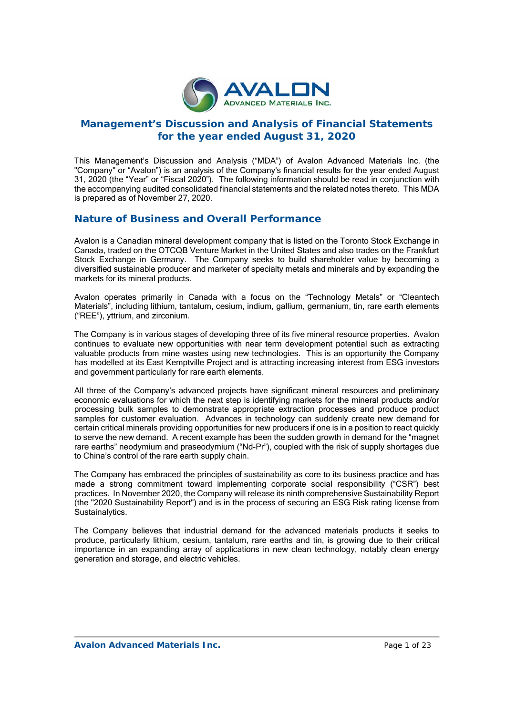

# **Management's Discussion and Analysis of Financial Statements for the year ended August 31, 2020**

This Management's Discussion and Analysis ("MDA") of Avalon Advanced Materials Inc. (the "Company" or "Avalon") is an analysis of the Company's financial results for the year ended August 31, 2020 (the "Year" or "Fiscal 2020"). The following information should be read in conjunction with the accompanying audited consolidated financial statements and the related notes thereto. This MDA is prepared as of November 27, 2020.

## **Nature of Business and Overall Performance**

Avalon is a Canadian mineral development company that is listed on the Toronto Stock Exchange in Canada, traded on the OTCQB Venture Market in the United States and also trades on the Frankfurt Stock Exchange in Germany. The Company seeks to build shareholder value by becoming a diversified sustainable producer and marketer of specialty metals and minerals and by expanding the markets for its mineral products.

Avalon operates primarily in Canada with a focus on the "Technology Metals" or "Cleantech Materials", including lithium, tantalum, cesium, indium, gallium, germanium, tin, rare earth elements ("REE"), yttrium, and zirconium.

The Company is in various stages of developing three of its five mineral resource properties. Avalon continues to evaluate new opportunities with near term development potential such as extracting valuable products from mine wastes using new technologies. This is an opportunity the Company has modelled at its East Kemptville Project and is attracting increasing interest from ESG investors and government particularly for rare earth elements.

All three of the Company's advanced projects have significant mineral resources and preliminary economic evaluations for which the next step is identifying markets for the mineral products and/or processing bulk samples to demonstrate appropriate extraction processes and produce product samples for customer evaluation. Advances in technology can suddenly create new demand for certain critical minerals providing opportunities for new producers if one is in a position to react quickly to serve the new demand. A recent example has been the sudden growth in demand for the "magnet rare earths" neodymium and praseodymium ("Nd-Pr"), coupled with the risk of supply shortages due to China's control of the rare earth supply chain.

The Company has embraced the principles of sustainability as core to its business practice and has made a strong commitment toward implementing corporate social responsibility ("CSR") best practices. In November 2020, the Company will release its ninth comprehensive Sustainability Report (the "2020 Sustainability Report") and is in the process of securing an ESG Risk rating license from Sustainalytics.

The Company believes that industrial demand for the advanced materials products it seeks to produce, particularly lithium, cesium, tantalum, rare earths and tin, is growing due to their critical importance in an expanding array of applications in new clean technology, notably clean energy generation and storage, and electric vehicles.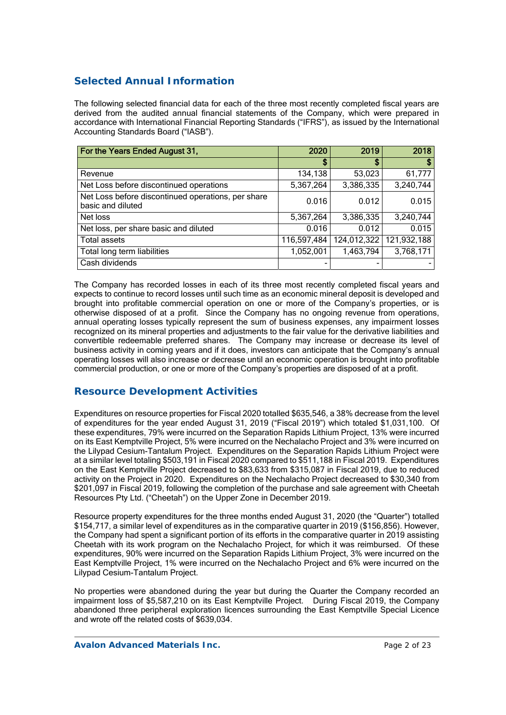# **Selected Annual Information**

The following selected financial data for each of the three most recently completed fiscal years are derived from the audited annual financial statements of the Company, which were prepared in accordance with International Financial Reporting Standards ("IFRS"), as issued by the International Accounting Standards Board ("IASB").

| For the Years Ended August 31,                                          | 2020        | 2019        | 2018        |
|-------------------------------------------------------------------------|-------------|-------------|-------------|
|                                                                         | S           | S           |             |
| Revenue                                                                 | 134,138     | 53,023      | 61,777      |
| Net Loss before discontinued operations                                 | 5,367,264   | 3,386,335   | 3,240,744   |
| Net Loss before discontinued operations, per share<br>basic and diluted | 0.016       | 0.012       | 0.015       |
| Net loss                                                                | 5,367,264   | 3,386,335   | 3,240,744   |
| Net loss, per share basic and diluted                                   | 0.016       | 0.012       | 0.015       |
| <b>Total assets</b>                                                     | 116,597,484 | 124,012,322 | 121,932,188 |
| Total long term liabilities                                             | 1,052,001   | 1,463,794   | 3,768,171   |
| Cash dividends                                                          |             |             |             |

The Company has recorded losses in each of its three most recently completed fiscal years and expects to continue to record losses until such time as an economic mineral deposit is developed and brought into profitable commercial operation on one or more of the Company's properties, or is otherwise disposed of at a profit. Since the Company has no ongoing revenue from operations, annual operating losses typically represent the sum of business expenses, any impairment losses recognized on its mineral properties and adjustments to the fair value for the derivative liabilities and convertible redeemable preferred shares. The Company may increase or decrease its level of business activity in coming years and if it does, investors can anticipate that the Company's annual operating losses will also increase or decrease until an economic operation is brought into profitable commercial production, or one or more of the Company's properties are disposed of at a profit.

# **Resource Development Activities**

Expenditures on resource properties for Fiscal 2020 totalled \$635,546, a 38% decrease from the level of expenditures for the year ended August 31, 2019 ("Fiscal 2019") which totaled \$1,031,100. Of these expenditures, 79% were incurred on the Separation Rapids Lithium Project, 13% were incurred on its East Kemptville Project, 5% were incurred on the Nechalacho Project and 3% were incurred on the Lilypad Cesium-Tantalum Project. Expenditures on the Separation Rapids Lithium Project were at a similar level totaling \$503,191 in Fiscal 2020 compared to \$511,188 in Fiscal 2019. Expenditures on the East Kemptville Project decreased to \$83,633 from \$315,087 in Fiscal 2019, due to reduced activity on the Project in 2020. Expenditures on the Nechalacho Project decreased to \$30,340 from \$201,097 in Fiscal 2019, following the completion of the purchase and sale agreement with Cheetah Resources Pty Ltd. ("Cheetah") on the Upper Zone in December 2019.

Resource property expenditures for the three months ended August 31, 2020 (the "Quarter") totalled \$154,717, a similar level of expenditures as in the comparative quarter in 2019 (\$156,856). However, the Company had spent a significant portion of its efforts in the comparative quarter in 2019 assisting Cheetah with its work program on the Nechalacho Project, for which it was reimbursed. Of these expenditures, 90% were incurred on the Separation Rapids Lithium Project, 3% were incurred on the East Kemptville Project, 1% were incurred on the Nechalacho Project and 6% were incurred on the Lilypad Cesium-Tantalum Project.

No properties were abandoned during the year but during the Quarter the Company recorded an impairment loss of \$5,587,210 on its East Kemptville Project. During Fiscal 2019, the Company abandoned three peripheral exploration licences surrounding the East Kemptville Special Licence and wrote off the related costs of \$639,034.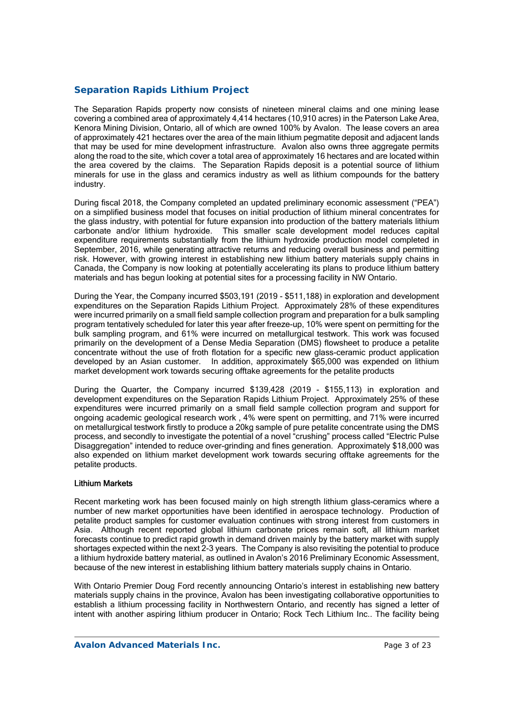## *Separation Rapids Lithium Project*

The Separation Rapids property now consists of nineteen mineral claims and one mining lease covering a combined area of approximately 4,414 hectares (10,910 acres) in the Paterson Lake Area, Kenora Mining Division, Ontario, all of which are owned 100% by Avalon. The lease covers an area of approximately 421 hectares over the area of the main lithium pegmatite deposit and adjacent lands that may be used for mine development infrastructure. Avalon also owns three aggregate permits along the road to the site, which cover a total area of approximately 16 hectares and are located within the area covered by the claims. The Separation Rapids deposit is a potential source of lithium minerals for use in the glass and ceramics industry as well as lithium compounds for the battery industry.

During fiscal 2018, the Company completed an updated preliminary economic assessment ("PEA") on a simplified business model that focuses on initial production of lithium mineral concentrates for the glass industry, with potential for future expansion into production of the battery materials lithium carbonate and/or lithium hydroxide. This smaller scale development model reduces capital expenditure requirements substantially from the lithium hydroxide production model completed in September, 2016, while generating attractive returns and reducing overall business and permitting risk. However, with growing interest in establishing new lithium battery materials supply chains in Canada, the Company is now looking at potentially accelerating its plans to produce lithium battery materials and has begun looking at potential sites for a processing facility in NW Ontario.

During the Year, the Company incurred \$503,191 (2019 - \$511,188) in exploration and development expenditures on the Separation Rapids Lithium Project. Approximately 28% of these expenditures were incurred primarily on a small field sample collection program and preparation for a bulk sampling program tentatively scheduled for later this year after freeze-up, 10% were spent on permitting for the bulk sampling program, and 61% were incurred on metallurgical testwork. This work was focused primarily on the development of a Dense Media Separation (DMS) flowsheet to produce a petalite concentrate without the use of froth flotation for a specific new glass-ceramic product application developed by an Asian customer. In addition, approximately \$65,000 was expended on lithium market development work towards securing offtake agreements for the petalite products

During the Quarter, the Company incurred \$139,428 (2019 - \$155,113) in exploration and development expenditures on the Separation Rapids Lithium Project. Approximately 25% of these expenditures were incurred primarily on a small field sample collection program and support for ongoing academic geological research work , 4% were spent on permitting, and 71% were incurred on metallurgical testwork firstly to produce a 20kg sample of pure petalite concentrate using the DMS process, and secondly to investigate the potential of a novel "crushing" process called "Electric Pulse Disaggregation" intended to reduce over-grinding and fines generation. Approximately \$18,000 was also expended on lithium market development work towards securing offtake agreements for the petalite products.

### Lithium Markets

Recent marketing work has been focused mainly on high strength lithium glass-ceramics where a number of new market opportunities have been identified in aerospace technology. Production of petalite product samples for customer evaluation continues with strong interest from customers in Asia. Although recent reported global lithium carbonate prices remain soft, all lithium market forecasts continue to predict rapid growth in demand driven mainly by the battery market with supply shortages expected within the next 2-3 years. The Company is also revisiting the potential to produce a lithium hydroxide battery material, as outlined in Avalon's 2016 Preliminary Economic Assessment, because of the new interest in establishing lithium battery materials supply chains in Ontario.

With Ontario Premier Doug Ford recently announcing Ontario's interest in establishing new battery materials supply chains in the province, Avalon has been investigating collaborative opportunities to establish a lithium processing facility in Northwestern Ontario, and recently has signed a letter of intent with another aspiring lithium producer in Ontario; Rock Tech Lithium Inc.. The facility being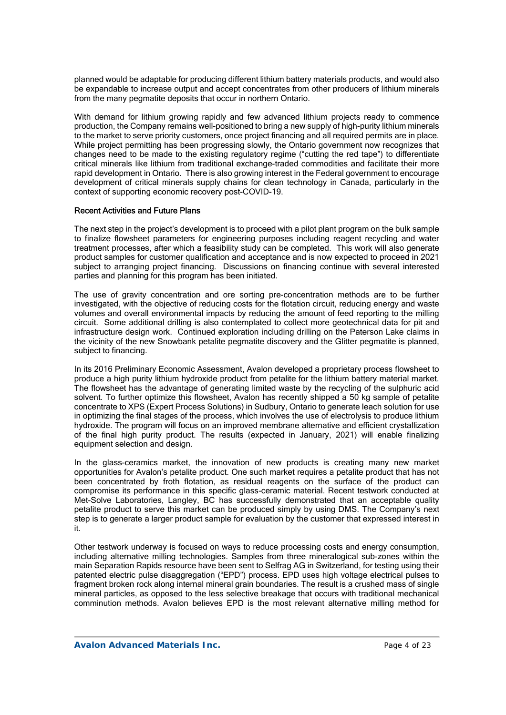planned would be adaptable for producing different lithium battery materials products, and would also be expandable to increase output and accept concentrates from other producers of lithium minerals from the many pegmatite deposits that occur in northern Ontario.

With demand for lithium growing rapidly and few advanced lithium projects ready to commence production, the Company remains well-positioned to bring a new supply of high-purity lithium minerals to the market to serve priority customers, once project financing and all required permits are in place. While project permitting has been progressing slowly, the Ontario government now recognizes that changes need to be made to the existing regulatory regime ("cutting the red tape") to differentiate critical minerals like lithium from traditional exchange-traded commodities and facilitate their more rapid development in Ontario. There is also growing interest in the Federal government to encourage development of critical minerals supply chains for clean technology in Canada, particularly in the context of supporting economic recovery post-COVID-19.

### Recent Activities and Future Plans

The next step in the project's development is to proceed with a pilot plant program on the bulk sample to finalize flowsheet parameters for engineering purposes including reagent recycling and water treatment processes, after which a feasibility study can be completed. This work will also generate product samples for customer qualification and acceptance and is now expected to proceed in 2021 subject to arranging project financing. Discussions on financing continue with several interested parties and planning for this program has been initiated.

The use of gravity concentration and ore sorting pre-concentration methods are to be further investigated, with the objective of reducing costs for the flotation circuit, reducing energy and waste volumes and overall environmental impacts by reducing the amount of feed reporting to the milling circuit. Some additional drilling is also contemplated to collect more geotechnical data for pit and infrastructure design work. Continued exploration including drilling on the Paterson Lake claims in the vicinity of the new Snowbank petalite pegmatite discovery and the Glitter pegmatite is planned, subject to financing.

In its 2016 Preliminary Economic Assessment, Avalon developed a proprietary process flowsheet to produce a high purity lithium hydroxide product from petalite for the lithium battery material market. The flowsheet has the advantage of generating limited waste by the recycling of the sulphuric acid solvent. To further optimize this flowsheet, Avalon has recently shipped a 50 kg sample of petalite concentrate to XPS (Expert Process Solutions) in Sudbury, Ontario to generate leach solution for use in optimizing the final stages of the process, which involves the use of electrolysis to produce lithium hydroxide. The program will focus on an improved membrane alternative and efficient crystallization of the final high purity product. The results (expected in January, 2021) will enable finalizing equipment selection and design.

In the glass-ceramics market, the innovation of new products is creating many new market opportunities for Avalon's petalite product. One such market requires a petalite product that has not been concentrated by froth flotation, as residual reagents on the surface of the product can compromise its performance in this specific glass-ceramic material. Recent testwork conducted at Met-Solve Laboratories, Langley, BC has successfully demonstrated that an acceptable quality petalite product to serve this market can be produced simply by using DMS. The Company's next step is to generate a larger product sample for evaluation by the customer that expressed interest in it.

Other testwork underway is focused on ways to reduce processing costs and energy consumption, including alternative milling technologies. Samples from three mineralogical sub-zones within the main Separation Rapids resource have been sent to Selfrag AG in Switzerland, for testing using their patented electric pulse disaggregation ("EPD") process. EPD uses high voltage electrical pulses to fragment broken rock along internal mineral grain boundaries. The result is a crushed mass of single mineral particles, as opposed to the less selective breakage that occurs with traditional mechanical comminution methods. Avalon believes EPD is the most relevant alternative milling method for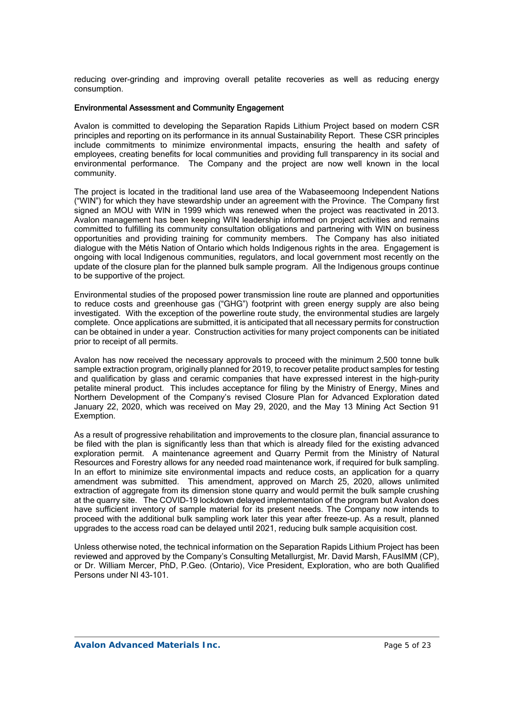reducing over-grinding and improving overall petalite recoveries as well as reducing energy consumption.

#### Environmental Assessment and Community Engagement

Avalon is committed to developing the Separation Rapids Lithium Project based on modern CSR principles and reporting on its performance in its annual Sustainability Report. These CSR principles include commitments to minimize environmental impacts, ensuring the health and safety of employees, creating benefits for local communities and providing full transparency in its social and environmental performance. The Company and the project are now well known in the local community.

The project is located in the traditional land use area of the Wabaseemoong Independent Nations ("WIN") for which they have stewardship under an agreement with the Province. The Company first signed an MOU with WIN in 1999 which was renewed when the project was reactivated in 2013. Avalon management has been keeping WIN leadership informed on project activities and remains committed to fulfilling its community consultation obligations and partnering with WIN on business opportunities and providing training for community members. The Company has also initiated dialogue with the Métis Nation of Ontario which holds Indigenous rights in the area. Engagement is ongoing with local Indigenous communities, regulators, and local government most recently on the update of the closure plan for the planned bulk sample program. All the Indigenous groups continue to be supportive of the project.

Environmental studies of the proposed power transmission line route are planned and opportunities to reduce costs and greenhouse gas ("GHG") footprint with green energy supply are also being investigated. With the exception of the powerline route study, the environmental studies are largely complete. Once applications are submitted, it is anticipated that all necessary permits for construction can be obtained in under a year. Construction activities for many project components can be initiated prior to receipt of all permits.

Avalon has now received the necessary approvals to proceed with the minimum 2,500 tonne bulk sample extraction program, originally planned for 2019, to recover petalite product samples for testing and qualification by glass and ceramic companies that have expressed interest in the high-purity petalite mineral product. This includes acceptance for filing by the Ministry of Energy, Mines and Northern Development of the Company's revised Closure Plan for Advanced Exploration dated January 22, 2020, which was received on May 29, 2020, and the May 13 Mining Act Section 91 Exemption.

As a result of progressive rehabilitation and improvements to the closure plan, financial assurance to be filed with the plan is significantly less than that which is already filed for the existing advanced exploration permit. A maintenance agreement and Quarry Permit from the Ministry of Natural Resources and Forestry allows for any needed road maintenance work, if required for bulk sampling. In an effort to minimize site environmental impacts and reduce costs, an application for a quarry amendment was submitted. This amendment, approved on March 25, 2020, allows unlimited extraction of aggregate from its dimension stone quarry and would permit the bulk sample crushing at the quarry site. The COVID-19 lockdown delayed implementation of the program but Avalon does have sufficient inventory of sample material for its present needs. The Company now intends to proceed with the additional bulk sampling work later this year after freeze-up. As a result, planned upgrades to the access road can be delayed until 2021, reducing bulk sample acquisition cost.

Unless otherwise noted, the technical information on the Separation Rapids Lithium Project has been reviewed and approved by the Company's Consulting Metallurgist, Mr. David Marsh, FAusIMM (CP), or Dr. William Mercer, PhD, P.Geo. (Ontario), Vice President, Exploration, who are both Qualified Persons under NI 43-101.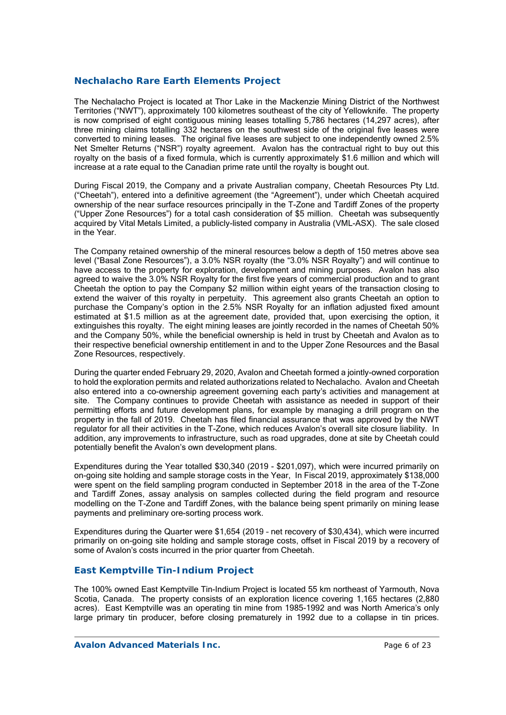### **Nechalacho Rare Earth Elements Project**

The Nechalacho Project is located at Thor Lake in the Mackenzie Mining District of the Northwest Territories ("NWT"), approximately 100 kilometres southeast of the city of Yellowknife. The property is now comprised of eight contiguous mining leases totalling 5,786 hectares (14,297 acres), after three mining claims totalling 332 hectares on the southwest side of the original five leases were converted to mining leases. The original five leases are subject to one independently owned 2.5% Net Smelter Returns ("NSR") royalty agreement. Avalon has the contractual right to buy out this royalty on the basis of a fixed formula, which is currently approximately \$1.6 million and which will increase at a rate equal to the Canadian prime rate until the royalty is bought out.

During Fiscal 2019, the Company and a private Australian company, Cheetah Resources Pty Ltd. ("Cheetah"), entered into a definitive agreement (the "Agreement"), under which Cheetah acquired ownership of the near surface resources principally in the T-Zone and Tardiff Zones of the property ("Upper Zone Resources") for a total cash consideration of \$5 million. Cheetah was subsequently acquired by Vital Metals Limited, a publicly-listed company in Australia (VML-ASX). The sale closed in the Year.

The Company retained ownership of the mineral resources below a depth of 150 metres above sea level ("Basal Zone Resources"), a 3.0% NSR royalty (the "3.0% NSR Royalty") and will continue to have access to the property for exploration, development and mining purposes. Avalon has also agreed to waive the 3.0% NSR Royalty for the first five years of commercial production and to grant Cheetah the option to pay the Company \$2 million within eight years of the transaction closing to extend the waiver of this royalty in perpetuity. This agreement also grants Cheetah an option to purchase the Company's option in the 2.5% NSR Royalty for an inflation adjusted fixed amount estimated at \$1.5 million as at the agreement date, provided that, upon exercising the option, it extinguishes this royalty. The eight mining leases are jointly recorded in the names of Cheetah 50% and the Company 50%, while the beneficial ownership is held in trust by Cheetah and Avalon as to their respective beneficial ownership entitlement in and to the Upper Zone Resources and the Basal Zone Resources, respectively.

During the quarter ended February 29, 2020, Avalon and Cheetah formed a jointly-owned corporation to hold the exploration permits and related authorizations related to Nechalacho. Avalon and Cheetah also entered into a co-ownership agreement governing each party's activities and management at site. The Company continues to provide Cheetah with assistance as needed in support of their permitting efforts and future development plans, for example by managing a drill program on the property in the fall of 2019. Cheetah has filed financial assurance that was approved by the NWT regulator for all their activities in the T-Zone, which reduces Avalon's overall site closure liability. In addition, any improvements to infrastructure, such as road upgrades, done at site by Cheetah could potentially benefit the Avalon's own development plans.

Expenditures during the Year totalled \$30,340 (2019 - \$201,097), which were incurred primarily on on-going site holding and sample storage costs in the Year, In Fiscal 2019, approximately \$138,000 were spent on the field sampling program conducted in September 2018 in the area of the T-Zone and Tardiff Zones, assay analysis on samples collected during the field program and resource modelling on the T-Zone and Tardiff Zones, with the balance being spent primarily on mining lease payments and preliminary ore-sorting process work.

Expenditures during the Quarter were \$1,654 (2019 – net recovery of \$30,434), which were incurred primarily on on-going site holding and sample storage costs, offset in Fiscal 2019 by a recovery of some of Avalon's costs incurred in the prior quarter from Cheetah.

### *East Kemptville Tin-Indium Project*

The 100% owned East Kemptville Tin-Indium Project is located 55 km northeast of Yarmouth, Nova Scotia, Canada. The property consists of an exploration licence covering 1,165 hectares (2,880 acres). East Kemptville was an operating tin mine from 1985-1992 and was North America's only large primary tin producer, before closing prematurely in 1992 due to a collapse in tin prices.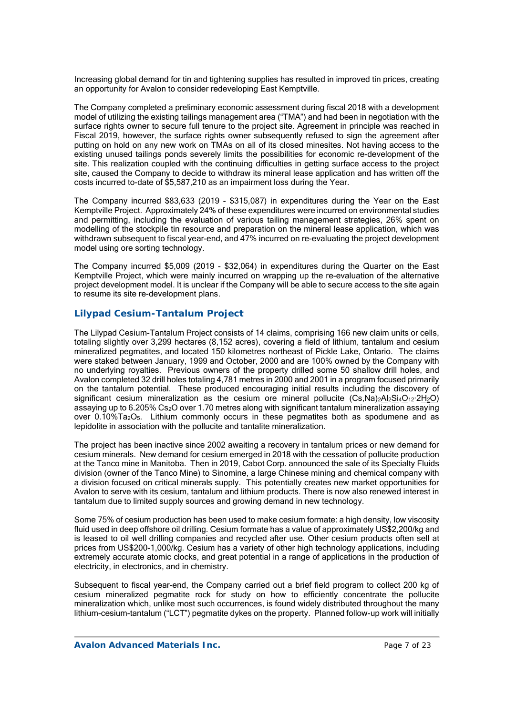Increasing global demand for tin and tightening supplies has resulted in improved tin prices, creating an opportunity for Avalon to consider redeveloping East Kemptville.

The Company completed a preliminary economic assessment during fiscal 2018 with a development model of utilizing the existing tailings management area ("TMA") and had been in negotiation with the surface rights owner to secure full tenure to the project site. Agreement in principle was reached in Fiscal 2019, however, the surface rights owner subsequently refused to sign the agreement after putting on hold on any new work on TMAs on all of its closed minesites. Not having access to the existing unused tailings ponds severely limits the possibilities for economic re-development of the site. This realization coupled with the continuing difficulties in getting surface access to the project site, caused the Company to decide to withdraw its mineral lease application and has written off the costs incurred to-date of \$5,587,210 as an impairment loss during the Year.

The Company incurred \$83,633 (2019 - \$315,087) in expenditures during the Year on the East Kemptville Project. Approximately 24% of these expenditures were incurred on environmental studies and permitting, including the evaluation of various tailing management strategies, 26% spent on modelling of the stockpile tin resource and preparation on the mineral lease application, which was withdrawn subsequent to fiscal year-end, and 47% incurred on re-evaluating the project development model using ore sorting technology.

The Company incurred \$5,009 (2019 - \$32,064) in expenditures during the Quarter on the East Kemptville Project, which were mainly incurred on wrapping up the re-evaluation of the alternative project development model. It is unclear if the Company will be able to secure access to the site again to resume its site re-development plans.

### *Lilypad Cesium-Tantalum Project*

The Lilypad Cesium-Tantalum Project consists of 14 claims, comprising 166 new claim units or cells, totaling slightly over 3,299 hectares (8,152 acres), covering a field of lithium, tantalum and cesium mineralized pegmatites, and located 150 kilometres northeast of Pickle Lake, Ontario. The claims were staked between January, 1999 and October, 2000 and are 100% owned by the Company with no underlying royalties. Previous owners of the property drilled some 50 shallow drill holes, and Avalon completed 32 drill holes totaling 4,781 metres in 2000 and 2001 in a program focused primarily on the tantalum potential. These produced encouraging initial results including the discovery of significant cesium mineralization as the cesium ore mineral pollucite (Cs,Na)<sub>2</sub>Al<sub>2</sub>Si<sub>4</sub>O<sub>12</sub>·2H<sub>2</sub>O) assaying up to 6.205% Cs2O over 1.70 metres along with significant tantalum mineralization assaying over 0.10%Ta2O5. Lithium commonly occurs in these pegmatites both as spodumene and as lepidolite in association with the pollucite and tantalite mineralization.

The project has been inactive since 2002 awaiting a recovery in tantalum prices or new demand for cesium minerals. New demand for cesium emerged in 2018 with the cessation of pollucite production at the Tanco mine in Manitoba. Then in 2019, Cabot Corp. announced the sale of its Specialty Fluids division (owner of the Tanco Mine) to Sinomine, a large Chinese mining and chemical company with a division focused on critical minerals supply. This potentially creates new market opportunities for Avalon to serve with its cesium, tantalum and lithium products. There is now also renewed interest in tantalum due to limited supply sources and growing demand in new technology.

Some 75% of cesium production has been used to make cesium formate: a high density, low viscosity fluid used in deep offshore oil drilling. Cesium formate has a value of approximately US\$2,200/kg and is leased to oil well drilling companies and recycled after use. Other cesium products often sell at prices from US\$200-1,000/kg. Cesium has a variety of other high technology applications, including extremely accurate atomic clocks, and great potential in a range of applications in the production of electricity, in electronics, and in chemistry.

Subsequent to fiscal year-end, the Company carried out a brief field program to collect 200 kg of cesium mineralized pegmatite rock for study on how to efficiently concentrate the pollucite mineralization which, unlike most such occurrences, is found widely distributed throughout the many lithium-cesium-tantalum ("LCT") pegmatite dykes on the property. Planned follow-up work will initially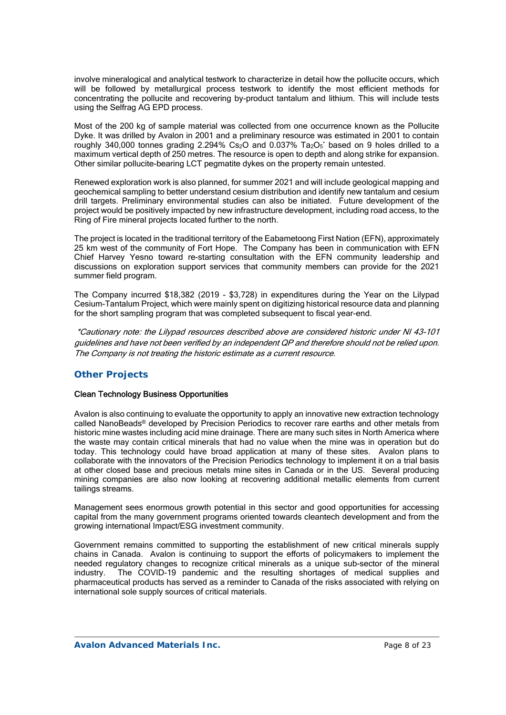involve mineralogical and analytical testwork to characterize in detail how the pollucite occurs, which will be followed by metallurgical process testwork to identify the most efficient methods for concentrating the pollucite and recovering by-product tantalum and lithium. This will include tests using the Selfrag AG EPD process.

Most of the 200 kg of sample material was collected from one occurrence known as the Pollucite Dyke. It was drilled by Avalon in 2001 and a preliminary resource was estimated in 2001 to contain roughly 340,000 tonnes grading 2.294% Cs<sub>2</sub>O and 0.037% Ta<sub>2</sub>O<sub>5</sub>\* based on 9 holes drilled to a maximum vertical depth of 250 metres. The resource is open to depth and along strike for expansion. Other similar pollucite-bearing LCT pegmatite dykes on the property remain untested.

Renewed exploration work is also planned, for summer 2021 and will include geological mapping and geochemical sampling to better understand cesium distribution and identify new tantalum and cesium drill targets. Preliminary environmental studies can also be initiated. Future development of the project would be positively impacted by new infrastructure development, including road access, to the Ring of Fire mineral projects located further to the north.

The project is located in the traditional territory of the Eabametoong First Nation (EFN), approximately 25 km west of the community of Fort Hope. The Company has been in communication with EFN Chief Harvey Yesno toward re-starting consultation with the EFN community leadership and discussions on exploration support services that community members can provide for the 2021 summer field program.

The Company incurred \$18,382 (2019 - \$3,728) in expenditures during the Year on the Lilypad Cesium-Tantalum Project, which were mainly spent on digitizing historical resource data and planning for the short sampling program that was completed subsequent to fiscal year-end.

 \*Cautionary note: the Lilypad resources described above are considered historic under NI 43-101 guidelines and have not been verified by an independent QP and therefore should not be relied upon. The Company is not treating the historic estimate as a current resource.

## *Other Projects*

### Clean Technology Business Opportunities

Avalon is also continuing to evaluate the opportunity to apply an innovative new extraction technology called NanoBeads® developed by Precision Periodics to recover rare earths and other metals from historic mine wastes including acid mine drainage. There are many such sites in North America where the waste may contain critical minerals that had no value when the mine was in operation but do today. This technology could have broad application at many of these sites. Avalon plans to collaborate with the innovators of the Precision Periodics technology to implement it on a trial basis at other closed base and precious metals mine sites in Canada or in the US. Several producing mining companies are also now looking at recovering additional metallic elements from current tailings streams.

Management sees enormous growth potential in this sector and good opportunities for accessing capital from the many government programs oriented towards cleantech development and from the growing international Impact/ESG investment community.

Government remains committed to supporting the establishment of new critical minerals supply chains in Canada. Avalon is continuing to support the efforts of policymakers to implement the needed regulatory changes to recognize critical minerals as a unique sub-sector of the mineral<br>industry. The COVID-19 pandemic and the resulting shortages of medical supplies and The COVID-19 pandemic and the resulting shortages of medical supplies and pharmaceutical products has served as a reminder to Canada of the risks associated with relying on international sole supply sources of critical materials.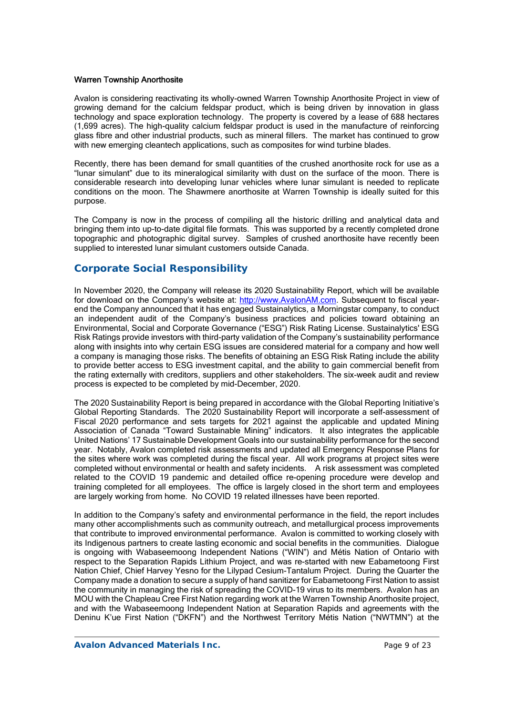#### Warren Township Anorthosite

Avalon is considering reactivating its wholly-owned Warren Township Anorthosite Project in view of growing demand for the calcium feldspar product, which is being driven by innovation in glass technology and space exploration technology. The property is covered by a lease of 688 hectares (1,699 acres). The high-quality calcium feldspar product is used in the manufacture of reinforcing glass fibre and other industrial products, such as mineral fillers. The market has continued to grow with new emerging cleantech applications, such as composites for wind turbine blades.

Recently, there has been demand for small quantities of the crushed anorthosite rock for use as a "lunar simulant" due to its mineralogical similarity with dust on the surface of the moon. There is considerable research into developing lunar vehicles where lunar simulant is needed to replicate conditions on the moon. The Shawmere anorthosite at Warren Township is ideally suited for this purpose.

The Company is now in the process of compiling all the historic drilling and analytical data and bringing them into up-to-date digital file formats. This was supported by a recently completed drone topographic and photographic digital survey. Samples of crushed anorthosite have recently been supplied to interested lunar simulant customers outside Canada.

## **Corporate Social Responsibility**

In November 2020, the Company will release its 2020 Sustainability Report, which will be available for download on the Company's website at: http://www.AvalonAM.com. Subsequent to fiscal yearend the Company announced that it has engaged Sustainalytics, a Morningstar company, to conduct an independent audit of the Company's business practices and policies toward obtaining an Environmental, Social and Corporate Governance ("ESG") Risk Rating License. Sustainalytics' ESG Risk Ratings provide investors with third-party validation of the Company's sustainability performance along with insights into why certain ESG issues are considered material for a company and how well a company is managing those risks. The benefits of obtaining an ESG Risk Rating include the ability to provide better access to ESG investment capital, and the ability to gain commercial benefit from the rating externally with creditors, suppliers and other stakeholders. The six-week audit and review process is expected to be completed by mid-December, 2020.

The 2020 Sustainability Report is being prepared in accordance with the Global Reporting Initiative's Global Reporting Standards. The 2020 Sustainability Report will incorporate a self-assessment of Fiscal 2020 performance and sets targets for 2021 against the applicable and updated Mining Association of Canada "Toward Sustainable Mining" indicators. It also integrates the applicable United Nations' 17 Sustainable Development Goals into our sustainability performance for the second year. Notably, Avalon completed risk assessments and updated all Emergency Response Plans for the sites where work was completed during the fiscal year. All work programs at project sites were completed without environmental or health and safety incidents. A risk assessment was completed related to the COVID 19 pandemic and detailed office re-opening procedure were develop and training completed for all employees. The office is largely closed in the short term and employees are largely working from home. No COVID 19 related illnesses have been reported.

In addition to the Company's safety and environmental performance in the field, the report includes many other accomplishments such as community outreach, and metallurgical process improvements that contribute to improved environmental performance. Avalon is committed to working closely with its Indigenous partners to create lasting economic and social benefits in the communities. Dialogue is ongoing with Wabaseemoong Independent Nations ("WIN") and Métis Nation of Ontario with respect to the Separation Rapids Lithium Project, and was re-started with new Eabametoong First Nation Chief, Chief Harvey Yesno for the Lilypad Cesium-Tantalum Project. During the Quarter the Company made a donation to secure a supply of hand sanitizer for Eabametoong First Nation to assist the community in managing the risk of spreading the COVID-19 virus to its members. Avalon has an MOU with the Chapleau Cree First Nation regarding work at the Warren Township Anorthosite project, and with the Wabaseemoong Independent Nation at Separation Rapids and agreements with the Deninu K'ue First Nation ("DKFN") and the Northwest Territory Métis Nation ("NWTMN") at the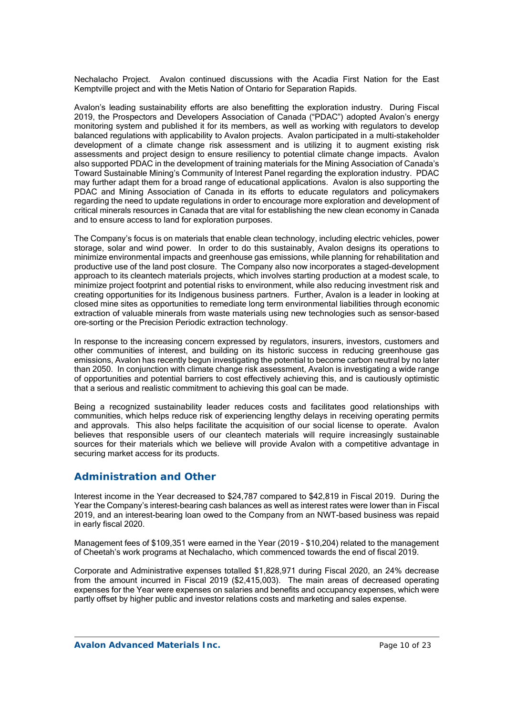Nechalacho Project. Avalon continued discussions with the Acadia First Nation for the East Kemptville project and with the Metis Nation of Ontario for Separation Rapids.

Avalon's leading sustainability efforts are also benefitting the exploration industry. During Fiscal 2019, the Prospectors and Developers Association of Canada ("PDAC") adopted Avalon's energy monitoring system and published it for its members, as well as working with regulators to develop balanced regulations with applicability to Avalon projects. Avalon participated in a multi-stakeholder development of a climate change risk assessment and is utilizing it to augment existing risk assessments and project design to ensure resiliency to potential climate change impacts. Avalon also supported PDAC in the development of training materials for the Mining Association of Canada's Toward Sustainable Mining's Community of Interest Panel regarding the exploration industry. PDAC may further adapt them for a broad range of educational applications. Avalon is also supporting the PDAC and Mining Association of Canada in its efforts to educate regulators and policymakers regarding the need to update regulations in order to encourage more exploration and development of critical minerals resources in Canada that are vital for establishing the new clean economy in Canada and to ensure access to land for exploration purposes.

The Company's focus is on materials that enable clean technology, including electric vehicles, power storage, solar and wind power. In order to do this sustainably, Avalon designs its operations to minimize environmental impacts and greenhouse gas emissions, while planning for rehabilitation and productive use of the land post closure. The Company also now incorporates a staged-development approach to its cleantech materials projects, which involves starting production at a modest scale, to minimize project footprint and potential risks to environment, while also reducing investment risk and creating opportunities for its Indigenous business partners. Further, Avalon is a leader in looking at closed mine sites as opportunities to remediate long term environmental liabilities through economic extraction of valuable minerals from waste materials using new technologies such as sensor-based ore-sorting or the Precision Periodic extraction technology.

In response to the increasing concern expressed by regulators, insurers, investors, customers and other communities of interest, and building on its historic success in reducing greenhouse gas emissions, Avalon has recently begun investigating the potential to become carbon neutral by no later than 2050. In conjunction with climate change risk assessment, Avalon is investigating a wide range of opportunities and potential barriers to cost effectively achieving this, and is cautiously optimistic that a serious and realistic commitment to achieving this goal can be made.

Being a recognized sustainability leader reduces costs and facilitates good relationships with communities, which helps reduce risk of experiencing lengthy delays in receiving operating permits and approvals. This also helps facilitate the acquisition of our social license to operate. Avalon believes that responsible users of our cleantech materials will require increasingly sustainable sources for their materials which we believe will provide Avalon with a competitive advantage in securing market access for its products.

## **Administration and Other**

Interest income in the Year decreased to \$24,787 compared to \$42,819 in Fiscal 2019. During the Year the Company's interest-bearing cash balances as well as interest rates were lower than in Fiscal 2019, and an interest-bearing loan owed to the Company from an NWT-based business was repaid in early fiscal 2020.

Management fees of \$109,351 were earned in the Year (2019 - \$10,204) related to the management of Cheetah's work programs at Nechalacho, which commenced towards the end of fiscal 2019.

Corporate and Administrative expenses totalled \$1,828,971 during Fiscal 2020, an 24% decrease from the amount incurred in Fiscal 2019 (\$2,415,003). The main areas of decreased operating expenses for the Year were expenses on salaries and benefits and occupancy expenses, which were partly offset by higher public and investor relations costs and marketing and sales expense.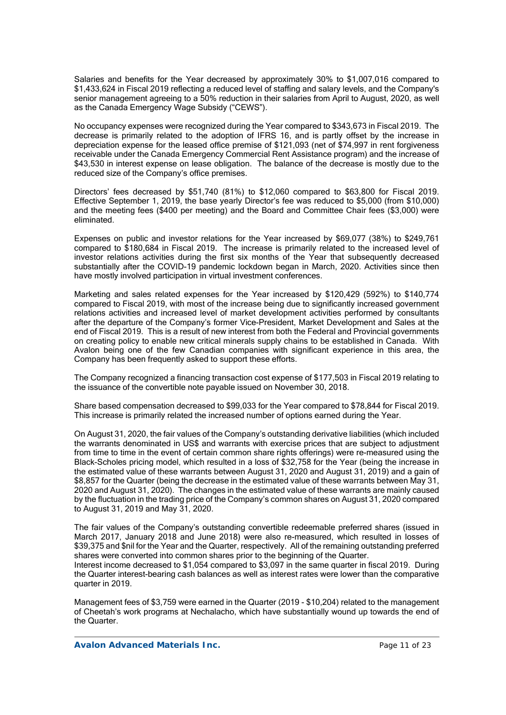Salaries and benefits for the Year decreased by approximately 30% to \$1,007,016 compared to \$1,433,624 in Fiscal 2019 reflecting a reduced level of staffing and salary levels, and the Company's senior management agreeing to a 50% reduction in their salaries from April to August, 2020, as well as the Canada Emergency Wage Subsidy ("CEWS").

No occupancy expenses were recognized during the Year compared to \$343,673 in Fiscal 2019. The decrease is primarily related to the adoption of IFRS 16, and is partly offset by the increase in depreciation expense for the leased office premise of \$121,093 (net of \$74,997 in rent forgiveness receivable under the Canada Emergency Commercial Rent Assistance program) and the increase of \$43,530 in interest expense on lease obligation. The balance of the decrease is mostly due to the reduced size of the Company's office premises.

Directors' fees decreased by \$51,740 (81%) to \$12,060 compared to \$63,800 for Fiscal 2019. Effective September 1, 2019, the base yearly Director's fee was reduced to \$5,000 (from \$10,000) and the meeting fees (\$400 per meeting) and the Board and Committee Chair fees (\$3,000) were eliminated.

Expenses on public and investor relations for the Year increased by \$69,077 (38%) to \$249,761 compared to \$180,684 in Fiscal 2019. The increase is primarily related to the increased level of investor relations activities during the first six months of the Year that subsequently decreased substantially after the COVID-19 pandemic lockdown began in March, 2020. Activities since then have mostly involved participation in virtual investment conferences.

Marketing and sales related expenses for the Year increased by \$120,429 (592%) to \$140,774 compared to Fiscal 2019, with most of the increase being due to significantly increased government relations activities and increased level of market development activities performed by consultants after the departure of the Company's former Vice-President, Market Development and Sales at the end of Fiscal 2019. This is a result of new interest from both the Federal and Provincial governments on creating policy to enable new critical minerals supply chains to be established in Canada. With Avalon being one of the few Canadian companies with significant experience in this area, the Company has been frequently asked to support these efforts.

The Company recognized a financing transaction cost expense of \$177,503 in Fiscal 2019 relating to the issuance of the convertible note payable issued on November 30, 2018.

Share based compensation decreased to \$99,033 for the Year compared to \$78,844 for Fiscal 2019. This increase is primarily related the increased number of options earned during the Year.

On August 31, 2020, the fair values of the Company's outstanding derivative liabilities (which included the warrants denominated in US\$ and warrants with exercise prices that are subject to adjustment from time to time in the event of certain common share rights offerings) were re-measured using the Black-Scholes pricing model, which resulted in a loss of \$32,758 for the Year (being the increase in the estimated value of these warrants between August 31, 2020 and August 31, 2019) and a gain of \$8,857 for the Quarter (being the decrease in the estimated value of these warrants between May 31, 2020 and August 31, 2020). The changes in the estimated value of these warrants are mainly caused by the fluctuation in the trading price of the Company's common shares on August 31, 2020 compared to August 31, 2019 and May 31, 2020.

The fair values of the Company's outstanding convertible redeemable preferred shares (issued in March 2017, January 2018 and June 2018) were also re-measured, which resulted in losses of \$39,375 and \$nil for the Year and the Quarter, respectively. All of the remaining outstanding preferred shares were converted into common shares prior to the beginning of the Quarter.

Interest income decreased to \$1,054 compared to \$3,097 in the same quarter in fiscal 2019. During the Quarter interest-bearing cash balances as well as interest rates were lower than the comparative quarter in 2019.

Management fees of \$3,759 were earned in the Quarter (2019 - \$10,204) related to the management of Cheetah's work programs at Nechalacho, which have substantially wound up towards the end of the Quarter.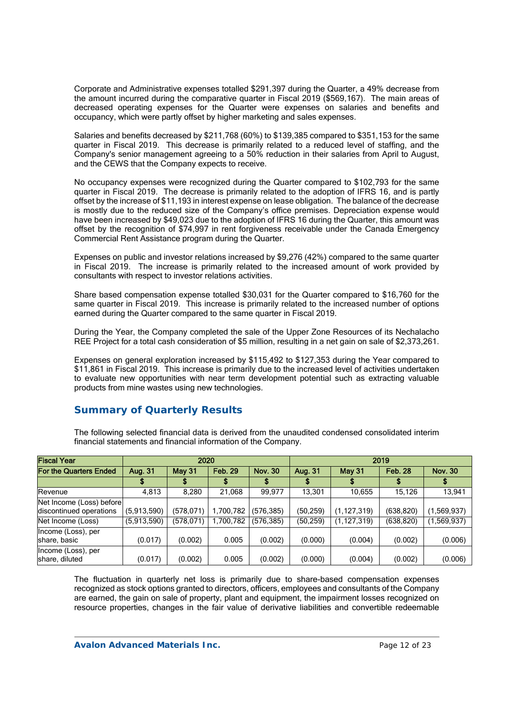Corporate and Administrative expenses totalled \$291,397 during the Quarter, a 49% decrease from the amount incurred during the comparative quarter in Fiscal 2019 (\$569,167). The main areas of decreased operating expenses for the Quarter were expenses on salaries and benefits and occupancy, which were partly offset by higher marketing and sales expenses.

Salaries and benefits decreased by \$211,768 (60%) to \$139,385 compared to \$351,153 for the same quarter in Fiscal 2019. This decrease is primarily related to a reduced level of staffing, and the Company's senior management agreeing to a 50% reduction in their salaries from April to August, and the CEWS that the Company expects to receive.

No occupancy expenses were recognized during the Quarter compared to \$102,793 for the same quarter in Fiscal 2019. The decrease is primarily related to the adoption of IFRS 16, and is partly offset by the increase of \$11,193 in interest expense on lease obligation. The balance of the decrease is mostly due to the reduced size of the Company's office premises. Depreciation expense would have been increased by \$49,023 due to the adoption of IFRS 16 during the Quarter, this amount was offset by the recognition of \$74,997 in rent forgiveness receivable under the Canada Emergency Commercial Rent Assistance program during the Quarter.

Expenses on public and investor relations increased by \$9,276 (42%) compared to the same quarter in Fiscal 2019. The increase is primarily related to the increased amount of work provided by consultants with respect to investor relations activities.

Share based compensation expense totalled \$30,031 for the Quarter compared to \$16,760 for the same quarter in Fiscal 2019. This increase is primarily related to the increased number of options earned during the Quarter compared to the same quarter in Fiscal 2019.

During the Year, the Company completed the sale of the Upper Zone Resources of its Nechalacho REE Project for a total cash consideration of \$5 million, resulting in a net gain on sale of \$2,373,261.

Expenses on general exploration increased by \$115,492 to \$127,353 during the Year compared to \$11,861 in Fiscal 2019. This increase is primarily due to the increased level of activities undertaken to evaluate new opportunities with near term development potential such as extracting valuable products from mine wastes using new technologies.

# **Summary of Quarterly Results**

The following selected financial data is derived from the unaudited condensed consolidated interim financial statements and financial information of the Company.

| <b>Fiscal Year</b>                                  | 2020        |               |                | 2019           |           |               |                |                |
|-----------------------------------------------------|-------------|---------------|----------------|----------------|-----------|---------------|----------------|----------------|
| For the Quarters Ended                              | Aug. 31     | <b>May 31</b> | <b>Feb. 29</b> | <b>Nov. 30</b> | Aug. 31   | <b>May 31</b> | <b>Feb. 28</b> | <b>Nov. 30</b> |
|                                                     |             |               |                |                |           |               |                |                |
| Revenue                                             | 4.813       | 8,280         | 21,068         | 99.977         | 13,301    | 10,655        | 15,126         | 13,941         |
| Net Income (Loss) before<br>discontinued operations | (5,913,590) | (578,071)     | 1,700,782      | (576,385)      | (50, 259) | (1, 127, 319) | (638, 820)     | (1,569,937)    |
| Net Income (Loss)                                   | (5,913,590) | (578,071)     | 1,700,782      | (576,385)      | (50, 259) | (1, 127, 319) | (638, 820)     | (1,569,937)    |
| Income (Loss), per<br>share, basic                  | (0.017)     | (0.002)       | 0.005          | (0.002)        | (0.000)   | (0.004)       | (0.002)        | (0.006)        |
| Income (Loss), per<br>share, diluted                | (0.017)     | (0.002)       | 0.005          | (0.002)        | (0.000)   | (0.004)       | (0.002)        | (0.006)        |

The fluctuation in quarterly net loss is primarily due to share-based compensation expenses recognized as stock options granted to directors, officers, employees and consultants of the Company are earned, the gain on sale of property, plant and equipment, the impairment losses recognized on resource properties, changes in the fair value of derivative liabilities and convertible redeemable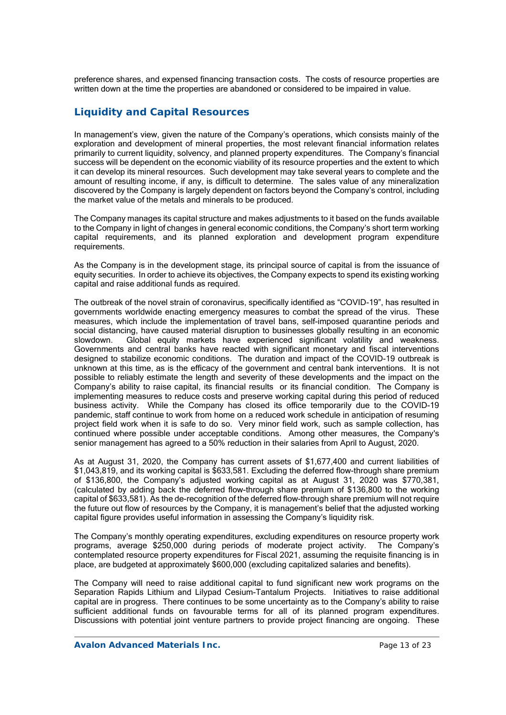preference shares, and expensed financing transaction costs. The costs of resource properties are written down at the time the properties are abandoned or considered to be impaired in value.

# **Liquidity and Capital Resources**

In management's view, given the nature of the Company's operations, which consists mainly of the exploration and development of mineral properties, the most relevant financial information relates primarily to current liquidity, solvency, and planned property expenditures. The Company's financial success will be dependent on the economic viability of its resource properties and the extent to which it can develop its mineral resources. Such development may take several years to complete and the amount of resulting income, if any, is difficult to determine. The sales value of any mineralization discovered by the Company is largely dependent on factors beyond the Company's control, including the market value of the metals and minerals to be produced.

The Company manages its capital structure and makes adjustments to it based on the funds available to the Company in light of changes in general economic conditions, the Company's short term working capital requirements, and its planned exploration and development program expenditure requirements.

As the Company is in the development stage, its principal source of capital is from the issuance of equity securities. In order to achieve its objectives, the Company expects to spend its existing working capital and raise additional funds as required.

The outbreak of the novel strain of coronavirus, specifically identified as "COVID-19", has resulted in governments worldwide enacting emergency measures to combat the spread of the virus. These measures, which include the implementation of travel bans, self-imposed quarantine periods and social distancing, have caused material disruption to businesses globally resulting in an economic slowdown. Global equity markets have experienced significant volatility and weakness. Governments and central banks have reacted with significant monetary and fiscal interventions designed to stabilize economic conditions. The duration and impact of the COVID-19 outbreak is unknown at this time, as is the efficacy of the government and central bank interventions. It is not possible to reliably estimate the length and severity of these developments and the impact on the Company's ability to raise capital, its financial results or its financial condition. The Company is implementing measures to reduce costs and preserve working capital during this period of reduced business activity. While the Company has closed its office temporarily due to the COVID-19 pandemic, staff continue to work from home on a reduced work schedule in anticipation of resuming project field work when it is safe to do so. Very minor field work, such as sample collection, has continued where possible under acceptable conditions. Among other measures, the Company's senior management has agreed to a 50% reduction in their salaries from April to August, 2020.

As at August 31, 2020, the Company has current assets of \$1,677,400 and current liabilities of \$1,043,819, and its working capital is \$633,581. Excluding the deferred flow-through share premium of \$136,800, the Company's adjusted working capital as at August 31, 2020 was \$770,381, (calculated by adding back the deferred flow-through share premium of \$136,800 to the working capital of \$633,581). As the de-recognition of the deferred flow-through share premium will not require the future out flow of resources by the Company, it is management's belief that the adjusted working capital figure provides useful information in assessing the Company's liquidity risk.

The Company's monthly operating expenditures, excluding expenditures on resource property work programs, average \$250,000 during periods of moderate project activity. The Company's contemplated resource property expenditures for Fiscal 2021, assuming the requisite financing is in place, are budgeted at approximately \$600,000 (excluding capitalized salaries and benefits).

The Company will need to raise additional capital to fund significant new work programs on the Separation Rapids Lithium and Lilypad Cesium-Tantalum Projects. Initiatives to raise additional capital are in progress. There continues to be some uncertainty as to the Company's ability to raise sufficient additional funds on favourable terms for all of its planned program expenditures. Discussions with potential joint venture partners to provide project financing are ongoing. These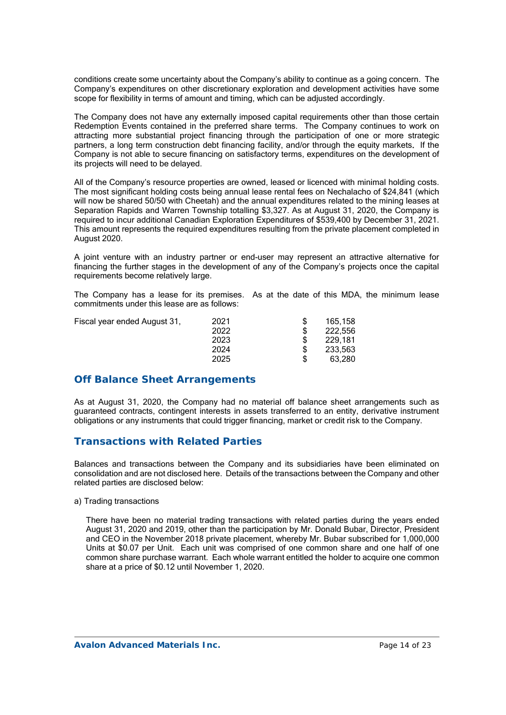conditions create some uncertainty about the Company's ability to continue as a going concern. The Company's expenditures on other discretionary exploration and development activities have some scope for flexibility in terms of amount and timing, which can be adjusted accordingly.

The Company does not have any externally imposed capital requirements other than those certain Redemption Events contained in the preferred share terms. The Company continues to work on attracting more substantial project financing through the participation of one or more strategic partners, a long term construction debt financing facility, and/or through the equity markets. If the Company is not able to secure financing on satisfactory terms, expenditures on the development of its projects will need to be delayed.

All of the Company's resource properties are owned, leased or licenced with minimal holding costs. The most significant holding costs being annual lease rental fees on Nechalacho of \$24,841 (which will now be shared 50/50 with Cheetah) and the annual expenditures related to the mining leases at Separation Rapids and Warren Township totalling \$3,327. As at August 31, 2020, the Company is required to incur additional Canadian Exploration Expenditures of \$539,400 by December 31, 2021. This amount represents the required expenditures resulting from the private placement completed in August 2020.

A joint venture with an industry partner or end-user may represent an attractive alternative for financing the further stages in the development of any of the Company's projects once the capital requirements become relatively large.

The Company has a lease for its premises. As at the date of this MDA, the minimum lease commitments under this lease are as follows:

| Fiscal year ended August 31, | 2021 | 165.158 |
|------------------------------|------|---------|
|                              | 2022 | 222.556 |
|                              | 2023 | 229.181 |
|                              | 2024 | 233.563 |
|                              | 2025 | 63.280  |
|                              |      |         |

# **Off Balance Sheet Arrangements**

As at August 31, 2020, the Company had no material off balance sheet arrangements such as guaranteed contracts, contingent interests in assets transferred to an entity, derivative instrument obligations or any instruments that could trigger financing, market or credit risk to the Company.

# **Transactions with Related Parties**

Balances and transactions between the Company and its subsidiaries have been eliminated on consolidation and are not disclosed here. Details of the transactions between the Company and other related parties are disclosed below:

#### a) Trading transactions

There have been no material trading transactions with related parties during the years ended August 31, 2020 and 2019, other than the participation by Mr. Donald Bubar, Director, President and CEO in the November 2018 private placement, whereby Mr. Bubar subscribed for 1,000,000 Units at \$0.07 per Unit. Each unit was comprised of one common share and one half of one common share purchase warrant. Each whole warrant entitled the holder to acquire one common share at a price of \$0.12 until November 1, 2020.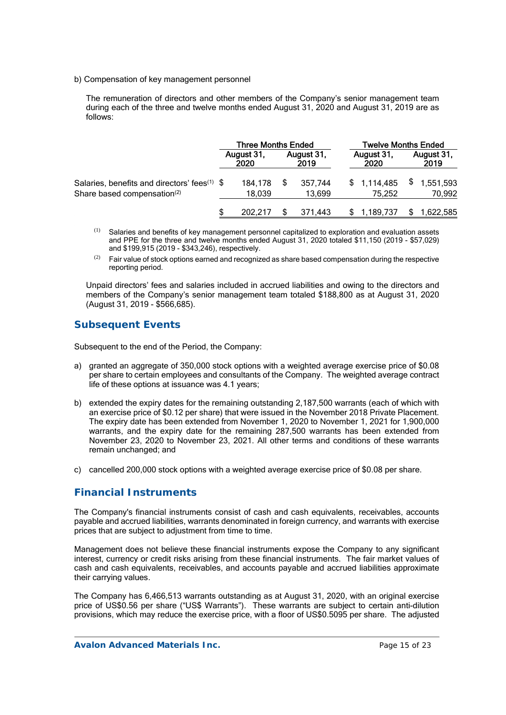b) Compensation of key management personnel

The remuneration of directors and other members of the Company's senior management team during each of the three and twelve months ended August 31, 2020 and August 31, 2019 are as follows:

|                                                          | <b>Three Months Ended</b> |                    |  |                    | <b>Twelve Months Ended</b> |                    |  |                    |
|----------------------------------------------------------|---------------------------|--------------------|--|--------------------|----------------------------|--------------------|--|--------------------|
|                                                          |                           | August 31,<br>2020 |  | August 31,<br>2019 |                            | August 31,<br>2020 |  | August 31,<br>2019 |
| Salaries, benefits and directors' fees <sup>(1)</sup> \$ |                           | 184,178            |  | 357.744            |                            | \$1,114,485        |  | 1,551,593          |
| Share based compensation <sup>(2)</sup>                  |                           | 18,039             |  | 13,699             |                            | 75.252             |  | 70,992             |
|                                                          |                           | 202.217            |  | 371.443            |                            | 1,189,737          |  | 1,622,585          |

- (1) Salaries and benefits of key management personnel capitalized to exploration and evaluation assets and PPE for the three and twelve months ended August 31, 2020 totaled \$11,150 (2019 - \$57,029) and \$199,915 (2019 - \$343,246), respectively.
- $(2)$  Fair value of stock options earned and recognized as share based compensation during the respective reporting period.

Unpaid directors' fees and salaries included in accrued liabilities and owing to the directors and members of the Company's senior management team totaled \$188,800 as at August 31, 2020 (August 31, 2019 - \$566,685).

## **Subsequent Events**

Subsequent to the end of the Period, the Company:

- a) granted an aggregate of 350,000 stock options with a weighted average exercise price of \$0.08 per share to certain employees and consultants of the Company. The weighted average contract life of these options at issuance was 4.1 years;
- b) extended the expiry dates for the remaining outstanding 2,187,500 warrants (each of which with an exercise price of \$0.12 per share) that were issued in the November 2018 Private Placement. The expiry date has been extended from November 1, 2020 to November 1, 2021 for 1,900,000 warrants, and the expiry date for the remaining 287,500 warrants has been extended from November 23, 2020 to November 23, 2021. All other terms and conditions of these warrants remain unchanged; and
- c) cancelled 200,000 stock options with a weighted average exercise price of \$0.08 per share.

## **Financial Instruments**

The Company's financial instruments consist of cash and cash equivalents, receivables, accounts payable and accrued liabilities, warrants denominated in foreign currency, and warrants with exercise prices that are subject to adjustment from time to time.

Management does not believe these financial instruments expose the Company to any significant interest, currency or credit risks arising from these financial instruments. The fair market values of cash and cash equivalents, receivables, and accounts payable and accrued liabilities approximate their carrying values.

The Company has 6,466,513 warrants outstanding as at August 31, 2020, with an original exercise price of US\$0.56 per share ("US\$ Warrants"). These warrants are subject to certain anti-dilution provisions, which may reduce the exercise price, with a floor of US\$0.5095 per share. The adjusted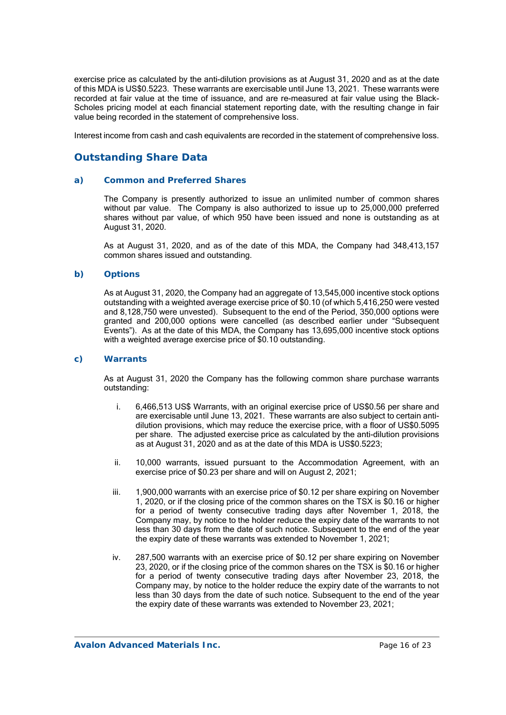exercise price as calculated by the anti-dilution provisions as at August 31, 2020 and as at the date of this MDA is US\$0.5223. These warrants are exercisable until June 13, 2021. These warrants were recorded at fair value at the time of issuance, and are re-measured at fair value using the Black-Scholes pricing model at each financial statement reporting date, with the resulting change in fair value being recorded in the statement of comprehensive loss.

Interest income from cash and cash equivalents are recorded in the statement of comprehensive loss.

## **Outstanding Share Data**

#### *a) Common and Preferred Shares*

The Company is presently authorized to issue an unlimited number of common shares without par value. The Company is also authorized to issue up to 25,000,000 preferred shares without par value, of which 950 have been issued and none is outstanding as at August 31, 2020.

As at August 31, 2020, and as of the date of this MDA, the Company had 348,413,157 common shares issued and outstanding.

#### *b) Options*

As at August 31, 2020, the Company had an aggregate of 13,545,000 incentive stock options outstanding with a weighted average exercise price of \$0.10 (of which 5,416,250 were vested and 8,128,750 were unvested). Subsequent to the end of the Period, 350,000 options were granted and 200,000 options were cancelled (as described earlier under "Subsequent Events"). As at the date of this MDA, the Company has 13,695,000 incentive stock options with a weighted average exercise price of \$0.10 outstanding.

#### *c) Warrants*

As at August 31, 2020 the Company has the following common share purchase warrants outstanding:

- i. 6,466,513 US\$ Warrants, with an original exercise price of US\$0.56 per share and are exercisable until June 13, 2021. These warrants are also subject to certain antidilution provisions, which may reduce the exercise price, with a floor of US\$0.5095 per share. The adjusted exercise price as calculated by the anti-dilution provisions as at August 31, 2020 and as at the date of this MDA is US\$0.5223;
- ii. 10,000 warrants, issued pursuant to the Accommodation Agreement, with an exercise price of \$0.23 per share and will on August 2, 2021;
- iii. 1,900,000 warrants with an exercise price of \$0.12 per share expiring on November 1, 2020, or if the closing price of the common shares on the TSX is \$0.16 or higher for a period of twenty consecutive trading days after November 1, 2018, the Company may, by notice to the holder reduce the expiry date of the warrants to not less than 30 days from the date of such notice. Subsequent to the end of the year the expiry date of these warrants was extended to November 1, 2021;
- iv. 287,500 warrants with an exercise price of \$0.12 per share expiring on November 23, 2020, or if the closing price of the common shares on the TSX is \$0.16 or higher for a period of twenty consecutive trading days after November 23, 2018, the Company may, by notice to the holder reduce the expiry date of the warrants to not less than 30 days from the date of such notice. Subsequent to the end of the year the expiry date of these warrants was extended to November 23, 2021;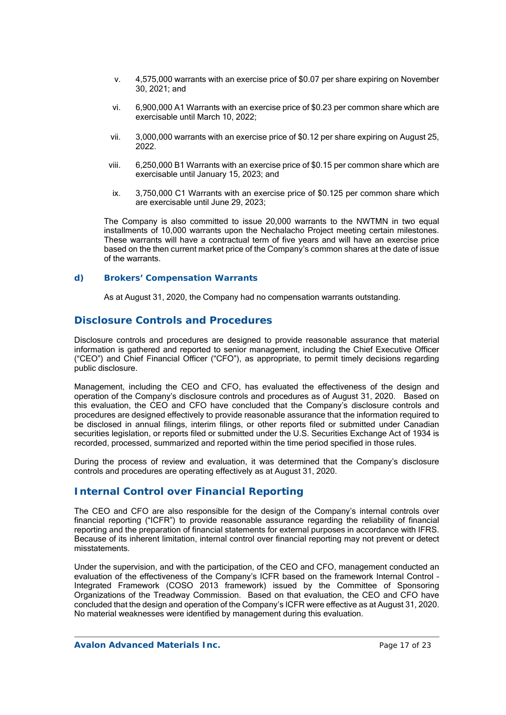- v. 4,575,000 warrants with an exercise price of \$0.07 per share expiring on November 30, 2021; and
- vi. 6,900,000 A1 Warrants with an exercise price of \$0.23 per common share which are exercisable until March 10, 2022;
- vii. 3,000,000 warrants with an exercise price of \$0.12 per share expiring on August 25, 2022.
- viii. 6,250,000 B1 Warrants with an exercise price of \$0.15 per common share which are exercisable until January 15, 2023; and
- ix. 3,750,000 C1 Warrants with an exercise price of \$0.125 per common share which are exercisable until June 29, 2023;

The Company is also committed to issue 20,000 warrants to the NWTMN in two equal installments of 10,000 warrants upon the Nechalacho Project meeting certain milestones. These warrants will have a contractual term of five years and will have an exercise price based on the then current market price of the Company's common shares at the date of issue of the warrants.

### *d) Brokers' Compensation Warrants*

As at August 31, 2020, the Company had no compensation warrants outstanding.

### **Disclosure Controls and Procedures**

Disclosure controls and procedures are designed to provide reasonable assurance that material information is gathered and reported to senior management, including the Chief Executive Officer ("CEO") and Chief Financial Officer ("CFO"), as appropriate, to permit timely decisions regarding public disclosure.

Management, including the CEO and CFO, has evaluated the effectiveness of the design and operation of the Company's disclosure controls and procedures as of August 31, 2020. Based on this evaluation, the CEO and CFO have concluded that the Company's disclosure controls and procedures are designed effectively to provide reasonable assurance that the information required to be disclosed in annual filings, interim filings, or other reports filed or submitted under Canadian securities legislation, or reports filed or submitted under the U.S. Securities Exchange Act of 1934 is recorded, processed, summarized and reported within the time period specified in those rules.

During the process of review and evaluation, it was determined that the Company's disclosure controls and procedures are operating effectively as at August 31, 2020.

## **Internal Control over Financial Reporting**

The CEO and CFO are also responsible for the design of the Company's internal controls over financial reporting ("ICFR") to provide reasonable assurance regarding the reliability of financial reporting and the preparation of financial statements for external purposes in accordance with IFRS. Because of its inherent limitation, internal control over financial reporting may not prevent or detect misstatements.

Under the supervision, and with the participation, of the CEO and CFO, management conducted an evaluation of the effectiveness of the Company's ICFR based on the framework Internal Control – Integrated Framework (COSO 2013 framework) issued by the Committee of Sponsoring Organizations of the Treadway Commission. Based on that evaluation, the CEO and CFO have concluded that the design and operation of the Company's ICFR were effective as at August 31, 2020. No material weaknesses were identified by management during this evaluation.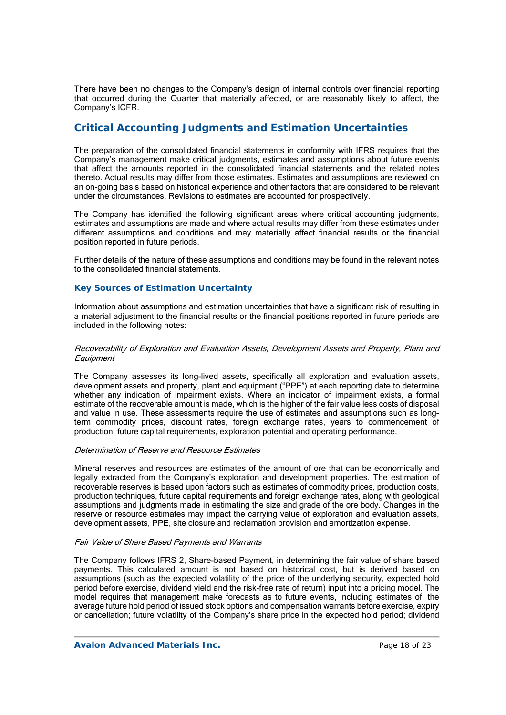There have been no changes to the Company's design of internal controls over financial reporting that occurred during the Quarter that materially affected, or are reasonably likely to affect, the Company's ICFR.

# **Critical Accounting Judgments and Estimation Uncertainties**

The preparation of the consolidated financial statements in conformity with IFRS requires that the Company's management make critical judgments, estimates and assumptions about future events that affect the amounts reported in the consolidated financial statements and the related notes thereto. Actual results may differ from those estimates. Estimates and assumptions are reviewed on an on-going basis based on historical experience and other factors that are considered to be relevant under the circumstances. Revisions to estimates are accounted for prospectively.

The Company has identified the following significant areas where critical accounting judgments, estimates and assumptions are made and where actual results may differ from these estimates under different assumptions and conditions and may materially affect financial results or the financial position reported in future periods.

Further details of the nature of these assumptions and conditions may be found in the relevant notes to the consolidated financial statements.

### *Key Sources of Estimation Uncertainty*

Information about assumptions and estimation uncertainties that have a significant risk of resulting in a material adjustment to the financial results or the financial positions reported in future periods are included in the following notes:

#### Recoverability of Exploration and Evaluation Assets, Development Assets and Property, Plant and **Equipment**

The Company assesses its long-lived assets, specifically all exploration and evaluation assets, development assets and property, plant and equipment ("PPE") at each reporting date to determine whether any indication of impairment exists. Where an indicator of impairment exists, a formal estimate of the recoverable amount is made, which is the higher of the fair value less costs of disposal and value in use. These assessments require the use of estimates and assumptions such as longterm commodity prices, discount rates, foreign exchange rates, years to commencement of production, future capital requirements, exploration potential and operating performance.

#### Determination of Reserve and Resource Estimates

Mineral reserves and resources are estimates of the amount of ore that can be economically and legally extracted from the Company's exploration and development properties. The estimation of recoverable reserves is based upon factors such as estimates of commodity prices, production costs, production techniques, future capital requirements and foreign exchange rates, along with geological assumptions and judgments made in estimating the size and grade of the ore body. Changes in the reserve or resource estimates may impact the carrying value of exploration and evaluation assets, development assets, PPE, site closure and reclamation provision and amortization expense.

#### Fair Value of Share Based Payments and Warrants

The Company follows IFRS 2, Share-based Payment, in determining the fair value of share based payments. This calculated amount is not based on historical cost, but is derived based on assumptions (such as the expected volatility of the price of the underlying security, expected hold period before exercise, dividend yield and the risk-free rate of return) input into a pricing model. The model requires that management make forecasts as to future events, including estimates of: the average future hold period of issued stock options and compensation warrants before exercise, expiry or cancellation; future volatility of the Company's share price in the expected hold period; dividend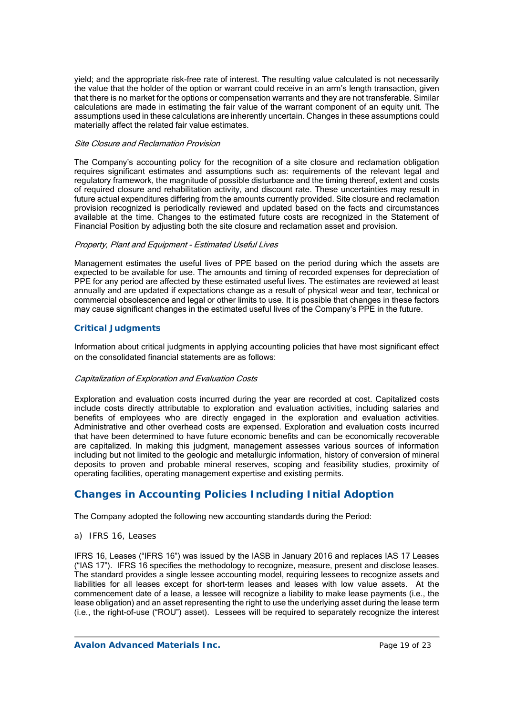yield; and the appropriate risk-free rate of interest. The resulting value calculated is not necessarily the value that the holder of the option or warrant could receive in an arm's length transaction, given that there is no market for the options or compensation warrants and they are not transferable. Similar calculations are made in estimating the fair value of the warrant component of an equity unit. The assumptions used in these calculations are inherently uncertain. Changes in these assumptions could materially affect the related fair value estimates.

#### Site Closure and Reclamation Provision

The Company's accounting policy for the recognition of a site closure and reclamation obligation requires significant estimates and assumptions such as: requirements of the relevant legal and regulatory framework, the magnitude of possible disturbance and the timing thereof, extent and costs of required closure and rehabilitation activity, and discount rate. These uncertainties may result in future actual expenditures differing from the amounts currently provided. Site closure and reclamation provision recognized is periodically reviewed and updated based on the facts and circumstances available at the time. Changes to the estimated future costs are recognized in the Statement of Financial Position by adjusting both the site closure and reclamation asset and provision.

#### Property, Plant and Equipment - Estimated Useful Lives

Management estimates the useful lives of PPE based on the period during which the assets are expected to be available for use. The amounts and timing of recorded expenses for depreciation of PPE for any period are affected by these estimated useful lives. The estimates are reviewed at least annually and are updated if expectations change as a result of physical wear and tear, technical or commercial obsolescence and legal or other limits to use. It is possible that changes in these factors may cause significant changes in the estimated useful lives of the Company's PPE in the future.

### *Critical Judgments*

Information about critical judgments in applying accounting policies that have most significant effect on the consolidated financial statements are as follows:

#### Capitalization of Exploration and Evaluation Costs

Exploration and evaluation costs incurred during the year are recorded at cost. Capitalized costs include costs directly attributable to exploration and evaluation activities, including salaries and benefits of employees who are directly engaged in the exploration and evaluation activities. Administrative and other overhead costs are expensed. Exploration and evaluation costs incurred that have been determined to have future economic benefits and can be economically recoverable are capitalized. In making this judgment, management assesses various sources of information including but not limited to the geologic and metallurgic information, history of conversion of mineral deposits to proven and probable mineral reserves, scoping and feasibility studies, proximity of operating facilities, operating management expertise and existing permits.

# **Changes in Accounting Policies Including Initial Adoption**

The Company adopted the following new accounting standards during the Period:

*a) IFRS 16, Leases* 

IFRS 16, Leases ("IFRS 16") was issued by the IASB in January 2016 and replaces IAS 17 Leases ("IAS 17"). IFRS 16 specifies the methodology to recognize, measure, present and disclose leases. The standard provides a single lessee accounting model, requiring lessees to recognize assets and liabilities for all leases except for short-term leases and leases with low value assets. At the commencement date of a lease, a lessee will recognize a liability to make lease payments (i.e., the lease obligation) and an asset representing the right to use the underlying asset during the lease term (i.e., the right-of-use ("ROU") asset). Lessees will be required to separately recognize the interest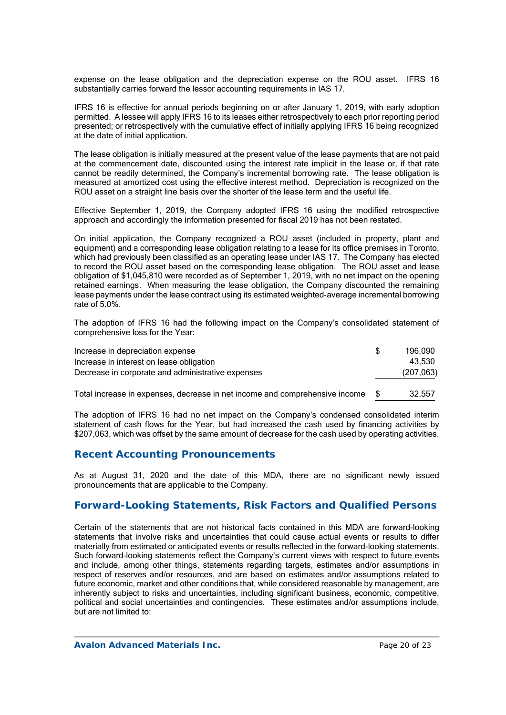expense on the lease obligation and the depreciation expense on the ROU asset. IFRS 16 substantially carries forward the lessor accounting requirements in IAS 17.

IFRS 16 is effective for annual periods beginning on or after January 1, 2019, with early adoption permitted. A lessee will apply IFRS 16 to its leases either retrospectively to each prior reporting period presented; or retrospectively with the cumulative effect of initially applying IFRS 16 being recognized at the date of initial application.

The lease obligation is initially measured at the present value of the lease payments that are not paid at the commencement date, discounted using the interest rate implicit in the lease or, if that rate cannot be readily determined, the Company's incremental borrowing rate. The lease obligation is measured at amortized cost using the effective interest method. Depreciation is recognized on the ROU asset on a straight line basis over the shorter of the lease term and the useful life.

Effective September 1, 2019, the Company adopted IFRS 16 using the modified retrospective approach and accordingly the information presented for fiscal 2019 has not been restated.

On initial application, the Company recognized a ROU asset (included in property, plant and equipment) and a corresponding lease obligation relating to a lease for its office premises in Toronto, which had previously been classified as an operating lease under IAS 17. The Company has elected to record the ROU asset based on the corresponding lease obligation. The ROU asset and lease obligation of \$1,045,810 were recorded as of September 1, 2019, with no net impact on the opening retained earnings. When measuring the lease obligation, the Company discounted the remaining lease payments under the lease contract using its estimated weighted-average incremental borrowing rate of 5.0%.

The adoption of IFRS 16 had the following impact on the Company's consolidated statement of comprehensive loss for the Year:

| Increase in depreciation expense                  | 196.090    |
|---------------------------------------------------|------------|
| Increase in interest on lease obligation          | 43.530     |
| Decrease in corporate and administrative expenses | (207, 063) |
|                                                   |            |

Total increase in expenses, decrease in net income and comprehensive income \$ 32,557

The adoption of IFRS 16 had no net impact on the Company's condensed consolidated interim statement of cash flows for the Year, but had increased the cash used by financing activities by \$207,063, which was offset by the same amount of decrease for the cash used by operating activities.

## **Recent Accounting Pronouncements**

As at August 31, 2020 and the date of this MDA, there are no significant newly issued pronouncements that are applicable to the Company.

## **Forward-Looking Statements, Risk Factors and Qualified Persons**

Certain of the statements that are not historical facts contained in this MDA are forward-looking statements that involve risks and uncertainties that could cause actual events or results to differ materially from estimated or anticipated events or results reflected in the forward-looking statements. Such forward-looking statements reflect the Company's current views with respect to future events and include, among other things, statements regarding targets, estimates and/or assumptions in respect of reserves and/or resources, and are based on estimates and/or assumptions related to future economic, market and other conditions that, while considered reasonable by management, are inherently subject to risks and uncertainties, including significant business, economic, competitive, political and social uncertainties and contingencies. These estimates and/or assumptions include, but are not limited to: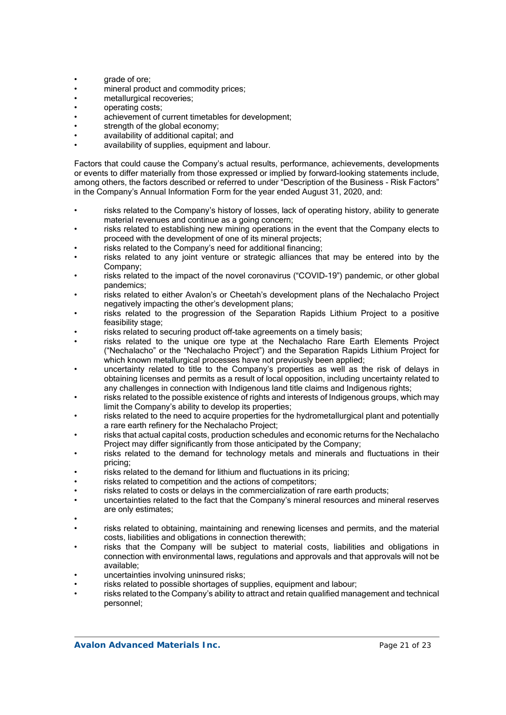- grade of ore:
- mineral product and commodity prices;
- metallurgical recoveries;
- operating costs;
- achievement of current timetables for development;
- strength of the global economy;
- availability of additional capital; and
- availability of supplies, equipment and labour.

Factors that could cause the Company's actual results, performance, achievements, developments or events to differ materially from those expressed or implied by forward-looking statements include, among others, the factors described or referred to under "Description of the Business - Risk Factors" in the Company's Annual Information Form for the year ended August 31, 2020, and:

- risks related to the Company's history of losses, lack of operating history, ability to generate material revenues and continue as a going concern;
- risks related to establishing new mining operations in the event that the Company elects to proceed with the development of one of its mineral projects;
- risks related to the Company's need for additional financing:
- risks related to any joint venture or strategic alliances that may be entered into by the Company;
- risks related to the impact of the novel coronavirus ("COVID-19") pandemic, or other global pandemics;
- risks related to either Avalon's or Cheetah's development plans of the Nechalacho Project negatively impacting the other's development plans;
- risks related to the progression of the Separation Rapids Lithium Project to a positive feasibility stage;
- risks related to securing product off-take agreements on a timely basis;
- risks related to the unique ore type at the Nechalacho Rare Earth Elements Project ("Nechalacho" or the "Nechalacho Project") and the Separation Rapids Lithium Project for which known metallurgical processes have not previously been applied;
- uncertainty related to title to the Company's properties as well as the risk of delays in obtaining licenses and permits as a result of local opposition, including uncertainty related to any challenges in connection with Indigenous land title claims and Indigenous rights;
- risks related to the possible existence of rights and interests of Indigenous groups, which may limit the Company's ability to develop its properties;
- risks related to the need to acquire properties for the hydrometallurgical plant and potentially a rare earth refinery for the Nechalacho Project;
- risks that actual capital costs, production schedules and economic returns for the Nechalacho Project may differ significantly from those anticipated by the Company;
- risks related to the demand for technology metals and minerals and fluctuations in their pricing;
- risks related to the demand for lithium and fluctuations in its pricing;
- risks related to competition and the actions of competitors:
- risks related to costs or delays in the commercialization of rare earth products;
- uncertainties related to the fact that the Company's mineral resources and mineral reserves are only estimates;
- •
- risks related to obtaining, maintaining and renewing licenses and permits, and the material costs, liabilities and obligations in connection therewith;
- risks that the Company will be subject to material costs, liabilities and obligations in connection with environmental laws, regulations and approvals and that approvals will not be available;
- uncertainties involving uninsured risks;
- risks related to possible shortages of supplies, equipment and labour;
- risks related to the Company's ability to attract and retain qualified management and technical personnel;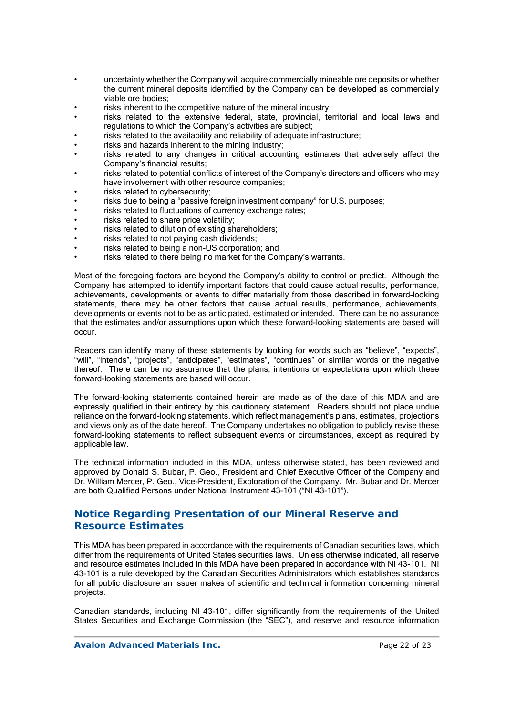- uncertainty whether the Company will acquire commercially mineable ore deposits or whether the current mineral deposits identified by the Company can be developed as commercially viable ore bodies;
- risks inherent to the competitive nature of the mineral industry;
- risks related to the extensive federal, state, provincial, territorial and local laws and regulations to which the Company's activities are subject;
- risks related to the availability and reliability of adequate infrastructure;
- risks and hazards inherent to the mining industry:
- risks related to any changes in critical accounting estimates that adversely affect the Company's financial results;
- risks related to potential conflicts of interest of the Company's directors and officers who may have involvement with other resource companies;
- risks related to cybersecurity;
- risks due to being a "passive foreign investment company" for U.S. purposes;
- risks related to fluctuations of currency exchange rates;
- risks related to share price volatility:
- risks related to dilution of existing shareholders;
- risks related to not paying cash dividends;
- risks related to being a non-US corporation; and
- risks related to there being no market for the Company's warrants.

Most of the foregoing factors are beyond the Company's ability to control or predict. Although the Company has attempted to identify important factors that could cause actual results, performance, achievements, developments or events to differ materially from those described in forward-looking statements, there may be other factors that cause actual results, performance, achievements, developments or events not to be as anticipated, estimated or intended. There can be no assurance that the estimates and/or assumptions upon which these forward-looking statements are based will occur.

Readers can identify many of these statements by looking for words such as "believe", "expects", "will", "intends", "projects", "anticipates", "estimates", "continues" or similar words or the negative thereof. There can be no assurance that the plans, intentions or expectations upon which these forward-looking statements are based will occur.

The forward-looking statements contained herein are made as of the date of this MDA and are expressly qualified in their entirety by this cautionary statement. Readers should not place undue reliance on the forward-looking statements, which reflect management's plans, estimates, projections and views only as of the date hereof. The Company undertakes no obligation to publicly revise these forward-looking statements to reflect subsequent events or circumstances, except as required by applicable law.

The technical information included in this MDA, unless otherwise stated, has been reviewed and approved by Donald S. Bubar, P. Geo., President and Chief Executive Officer of the Company and Dr. William Mercer, P. Geo., Vice-President, Exploration of the Company. Mr. Bubar and Dr. Mercer are both Qualified Persons under National Instrument 43-101 ("NI 43-101").

# **Notice Regarding Presentation of our Mineral Reserve and Resource Estimates**

This MDA has been prepared in accordance with the requirements of Canadian securities laws, which differ from the requirements of United States securities laws. Unless otherwise indicated, all reserve and resource estimates included in this MDA have been prepared in accordance with NI 43-101. NI 43-101 is a rule developed by the Canadian Securities Administrators which establishes standards for all public disclosure an issuer makes of scientific and technical information concerning mineral projects.

Canadian standards, including NI 43-101, differ significantly from the requirements of the United States Securities and Exchange Commission (the "SEC"), and reserve and resource information